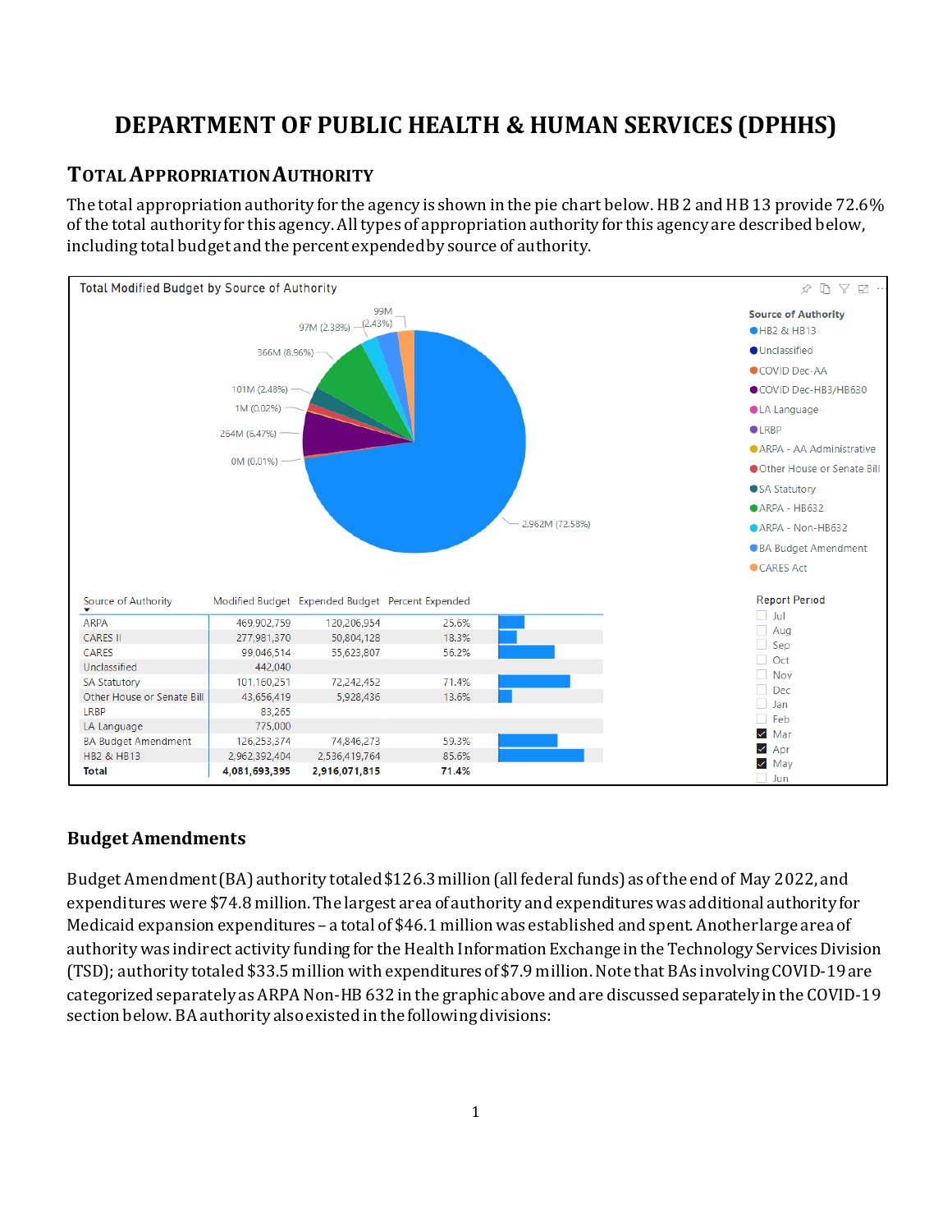# **DEPARTMENT OF PUBLIC HEALTH & HUMAN SERVICES (DPHHS)**

## **TOTAL APPROPRIATION AUTHORITY**

The total appropriation authority for the agency is shown in the pie chart below. HB 2 and HB 13 provide 72.6% of the total authority for this agency. All types of appropriation authority for this agency are described below, including total budget and the percent expended by source of authority.



#### **Budget Amendments**

Budget Amendment (BA) authority totaled \$126.3million (all federal funds) as of the end of May 2022, and expenditures were \$74.8 million. The largest area of authority and expenditures was additional authority for Medicaid expansion expenditures – a total of \$46.1 million was established and spent. Another large area of authority was indirect activity funding for the Health Information Exchange in the Technology Services Division (TSD); authority totaled \$33.5 million with expenditures of \$7.9 million. Note that BAs involving COVID-19 are categorized separately as ARPA Non-HB 632 in the graphic above and are discussed separately in the COVID-19 section below. BA authority also existed in the following divisions: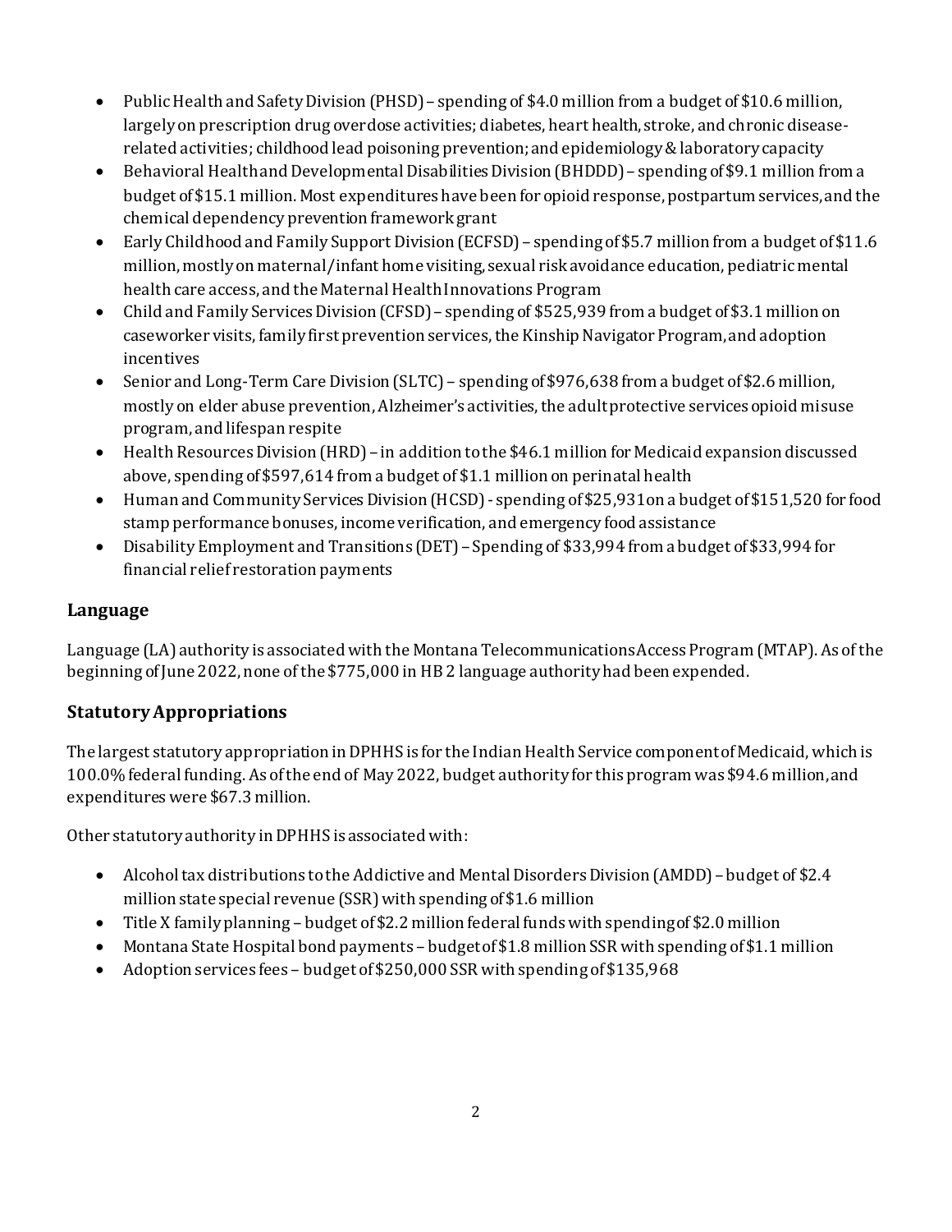- Public Health and Safety Division (PHSD)– spending of \$4.0 million from a budget of \$10.6 million, largely on prescription drug overdose activities; diabetes, heart health, stroke, and chronic diseaserelated activities; childhood lead poisoning prevention;and epidemiology &laboratory capacity
- Behavioral Health and Developmental Disabilities Division (BHDDD) spending of \$9.1 million from a budget of \$15.1 million. Most expenditures have been for opioid response, postpartum services, and the chemical dependency prevention frameworkgrant
- Early Childhood and Family Support Division (ECFSD) spending of \$5.7 million from a budget of \$11.6 million, mostly on maternal/infant home visiting, sexual risk avoidance education, pediatric mental health care access, and the Maternal Health Innovations Program
- Child and Family Services Division (CFSD)– spending of \$525,939 from a budget of \$3.1 million on caseworker visits,family first prevention services, the Kinship Navigator Program, and adoption incentives
- Senior and Long-Term Care Division (SLTC) spending of \$976,638 from a budget of \$2.6 million, mostly on elder abuse prevention, Alzheimer's activities, the adult protective services opioid misuse program, and lifespan respite
- Health Resources Division (HRD) in addition to the \$46.1 million for Medicaid expansion discussed above, spending of \$597,614 from a budget of \$1.1 million on perinatal health
- Human and Community Services Division (HCSD) spending of \$25,931on a budget of \$151,520 for food stamp performance bonuses, income verification, and emergency food assistance
- Disability Employment and Transitions (DET)– Spending of \$33,994 from a budget of \$33,994 for financial relief restoration payments

### **Language**

Language (LA) authority is associated with the Montana Telecommunications Access Program (MTAP). As of the beginning of June 2022, none of the \$775,000 in HB 2 language authority had been expended.

## **Statutory Appropriations**

The largest statutory appropriation in DPHHS is for the Indian Health Service component of Medicaid, which is 100.0% federal funding. As of the end of May 2022, budget authority for this program was \$94.6 million,and expenditures were \$67.3 million.

Other statutory authority in DPHHS is associated with:

- Alcohol tax distributions to the Addictive and Mental Disorders Division (AMDD)– budget of \$2.4 million state special revenue (SSR) with spending of \$1.6 million
- Title X family planning budget of \$2.2 million federal funds with spending of \$2.0 million
- Montana State Hospital bond payments budget of \$1.8 million SSR with spending of \$1.1 million
- Adoption services fees budget of \$250,000 SSR with spending of \$135,968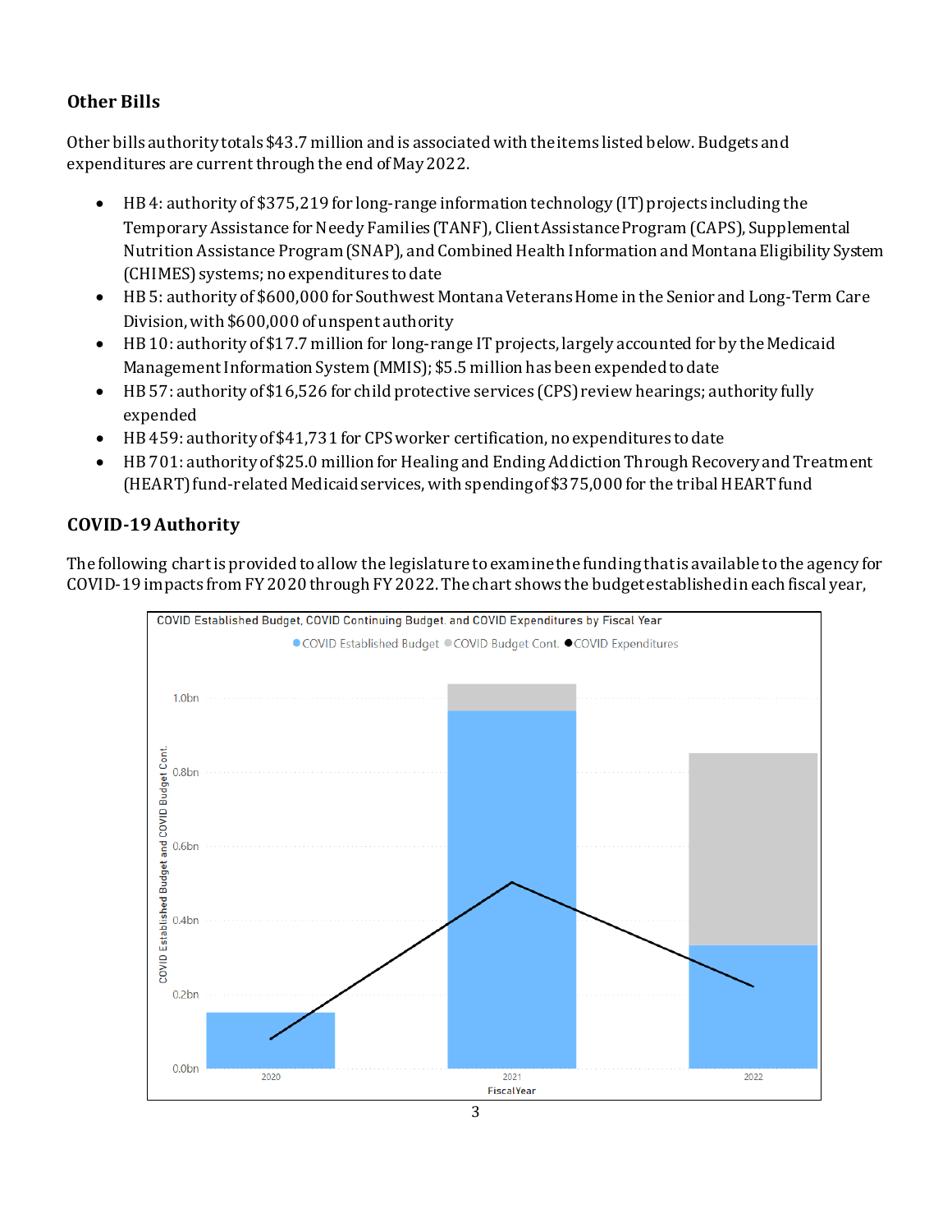## **Other Bills**

Other bills authority totals \$43.7 million and is associated with the items listed below. Budgets and expenditures are current through the end of May2022.

- HB 4: authority of \$375,219 for long-range information technology (IT) projects including the Temporary Assistance for Needy Families (TANF), Client Assistance Program (CAPS), Supplemental Nutrition Assistance Program (SNAP), and Combined Health Information and Montana Eligibility System (CHIMES) systems; no expenditures to date
- HB 5: authority of \$600,000 for Southwest Montana Veterans Home in the Senior and Long-Term Care Division, with \$600,000 of unspent authority
- HB 10: authority of \$17.7 million for long-range IT projects, largely accounted for by the Medicaid Management Information System (MMIS); \$5.5 million has been expended to date
- HB 57: authority of \$16,526 for child protective services (CPS) review hearings; authority fully expended
- HB 459: authority of \$41,731 for CPS worker certification, no expenditures to date
- HB 701: authority of \$25.0 million for Healing and Ending Addiction Through Recovery and Treatment (HEART)fund-related Medicaid services, with spending of\$375,000 for the tribal HEART fund

## **COVID-19 Authority**

The following chart is provided to allow the legislature to examine the funding that is available to the agency for COVID-19 impacts from FY 2020 through FY 2022. The chart shows the budget established in each fiscal year,

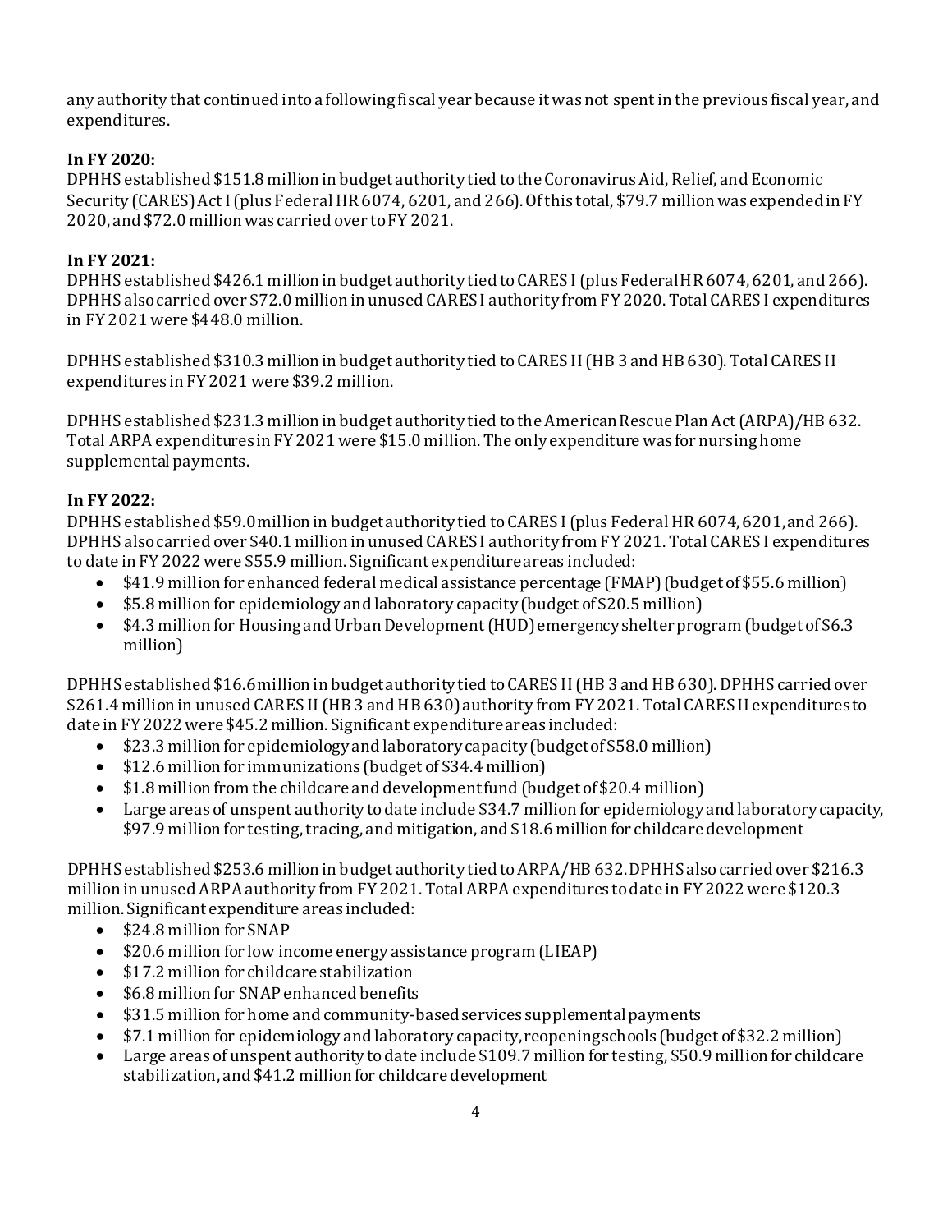any authority that continued into a following fiscal year because it was not spent in the previous fiscal year, and expenditures.

#### **In FY 2020:**

DPHHS established \$151.8 million in budget authority tied to the Coronavirus Aid, Relief, and Economic Security (CARES) Act I (plus Federal HR 6074, 6201, and 266). Of this total, \$79.7 million was expended in FY 2020, and \$72.0 million was carried over to FY 2021.

#### **In FY 2021:**

DPHHS established \$426.1 million in budget authority tied to CARES I (plus Federal HR 6074, 6201, and 266). DPHHS also carried over \$72.0 million in unused CARES I authority from FY 2020. Total CARES I expenditures in FY 2021 were \$448.0 million.

DPHHS established \$310.3 million in budget authority tied to CARES II (HB 3 and HB 630). Total CARES II expenditures in FY 2021 were \$39.2 million.

DPHHS established \$231.3 million in budget authority tied tothe American Rescue Plan Act (ARPA)/HB 632. Total ARPA expenditures in FY 2021 were \$15.0 million. The only expenditure was for nursing home supplemental payments.

#### **In FY 2022:**

DPHHS established \$59.0million in budget authority tied to CARES I (plus Federal HR 6074, 6201, and 266). DPHHS also carried over \$40.1 million in unused CARES I authority from FY 2021. Total CARES I expenditures to date in FY 2022 were \$55.9 million. Significant expenditure areas included:<br>• \$41.9 million for enhanced federal medical assistance percentage (FMA

- \$41.9 million for enhanced federal medical assistance percentage (FMAP)(budget of \$55.6 million)
- \$5.8 million for epidemiology and laboratory capacity (budget of \$20.5 million)
- \$4.3 million for Housing and Urban Development(HUD)emergency shelter program (budget of \$6.3 million)

DPHHS established \$16.6million in budget authority tied to CARES II (HB 3 and HB 630). DPHHS carried over \$261.4 million in unused CARES II (HB 3 and HB 630) authority from FY 2021. Total CARES II expendituresto date in FY 2022 were \$45.2 million. Significant expenditure areas included:<br>
• \$23.3 million for epidemiology and laboratory capacity (budget of \$5

- \$23.3 million for epidemiology and laboratory capacity (budget of \$58.0 million)
- \$12.6 million for immunizations (budget of \$34.4 million)
- \$1.8 million from the childcare and development fund (budget of \$20.4 million)
- Large areas of unspent authority to date include \$34.7 million for epidemiology and laboratory capacity, \$97.9 million for testing, tracing, and mitigation, and \$18.6 million for childcare development

DPHHS established \$253.6 million in budget authority tied to ARPA/HB 632. DPHHS also carried over \$216.3 million in unused ARPA authority from FY 2021. Total ARPA expenditures to date in FY 2022 were \$120.3 million. Significant expenditure areas included:

- \$24.8 million for SNAP
- \$20.6 million for low income energy assistance program (LIEAP)
- \$17.2 million for childcare stabilization<br>• \$6.8 million for SNAP enhanced benefits
- \$6.8 million for SNAP enhanced benefits
- \$31.5 million for home and community-based services supplemental payments
- \$7.1 million for epidemiology and laboratory capacity,reopening schools (budget of \$32.2 million)
- Large areas of unspent authority to date include \$109.7 million for testing, \$50.9 million for childcare stabilization, and \$41.2 million for childcare development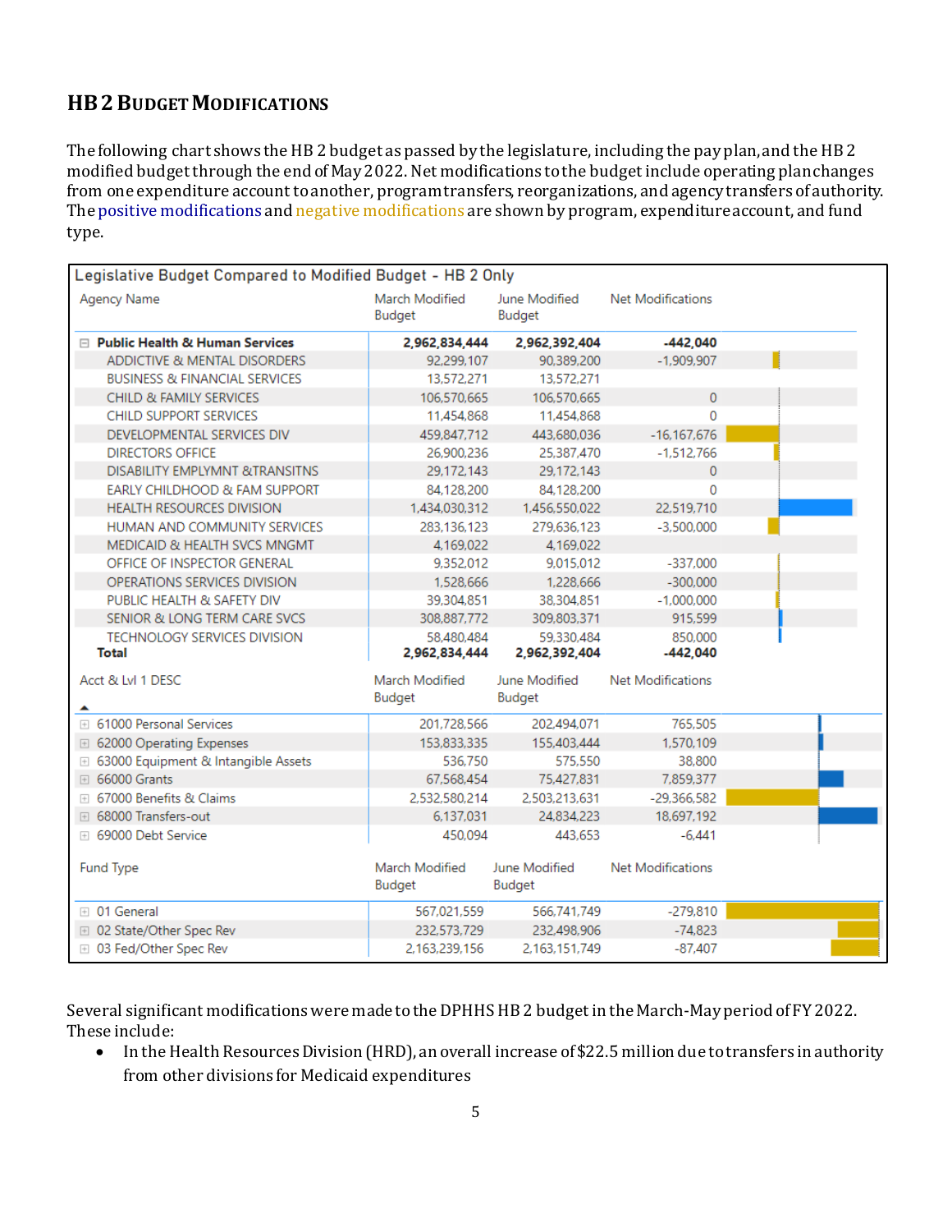## **HB2BUDGET MODIFICATIONS**

The following chart shows the HB 2 budget as passed by the legislature, including the pay plan, and the HB 2 modified budget through the end of May 2022. Net modifications to the budget include operating plan changes from one expenditure account to another, program transfers, reorganizations, and agency transfers of authority. The positive modifications and negative modifications are shown by program, expenditure account, and fund type.

| Legislative Budget Compared to Modified Budget - HB 2 Only |                             |                             |                          |  |  |  |  |  |  |  |
|------------------------------------------------------------|-----------------------------|-----------------------------|--------------------------|--|--|--|--|--|--|--|
| Agency Name                                                | March Modified<br>Budget    | June Modified<br>Budget     | <b>Net Modifications</b> |  |  |  |  |  |  |  |
| □ Public Health & Human Services                           | 2,962,834,444               | 2,962,392,404               | $-442.040$               |  |  |  |  |  |  |  |
| ADDICTIVE & MENTAL DISORDERS                               | 92,299,107                  | 90.389.200                  | $-1.909.907$             |  |  |  |  |  |  |  |
| <b>BUSINESS &amp; FINANCIAL SERVICES</b>                   | 13,572,271                  | 13,572,271                  |                          |  |  |  |  |  |  |  |
| CHILD & FAMILY SERVICES                                    | 106,570,665                 | 106.570.665                 | $\mathbf{0}$             |  |  |  |  |  |  |  |
| CHILD SUPPORT SERVICES                                     | 11,454,868                  | 11.454.868                  | $\Omega$                 |  |  |  |  |  |  |  |
| DEVELOPMENTAL SERVICES DIV                                 | 459,847,712                 | 443,680,036                 | $-16, 167, 676$          |  |  |  |  |  |  |  |
| <b>DIRECTORS OFFICE</b>                                    | 26,900,236                  | 25,387,470                  | $-1.512.766$             |  |  |  |  |  |  |  |
| <b>DISABILITY EMPLYMNT &amp;TRANSITNS</b>                  | 29,172,143                  | 29.172.143                  | 0                        |  |  |  |  |  |  |  |
| EARLY CHILDHOOD & FAM SUPPORT                              | 84,128,200                  | 84.128.200                  | 0                        |  |  |  |  |  |  |  |
| <b>HEALTH RESOURCES DIVISION</b>                           | 1,434,030,312               | 1,456,550,022               | 22.519.710               |  |  |  |  |  |  |  |
| HUMAN AND COMMUNITY SERVICES                               | 283,136,123                 | 279.636.123                 | $-3.500.000$             |  |  |  |  |  |  |  |
| MEDICAID & HEALTH SVCS MNGMT                               | 4,169,022                   | 4.169.022                   |                          |  |  |  |  |  |  |  |
| OFFICE OF INSPECTOR GENERAL                                | 9,352,012                   | 9,015,012                   | $-337,000$               |  |  |  |  |  |  |  |
| OPERATIONS SERVICES DIVISION                               | 1,528,666                   | 1,228,666                   | $-300,000$               |  |  |  |  |  |  |  |
| PUBLIC HEALTH & SAFETY DIV                                 | 39,304,851                  | 38,304,851                  | $-1,000,000$             |  |  |  |  |  |  |  |
| SENIOR & LONG TERM CARE SVCS                               | 308,887,772                 | 309,803,371                 | 915.599                  |  |  |  |  |  |  |  |
| <b>TECHNOLOGY SERVICES DIVISION</b><br>Total               | 58.480.484<br>2,962,834,444 | 59.330.484<br>2,962,392,404 | 850.000<br>$-442,040$    |  |  |  |  |  |  |  |
| Acct & Lvl 1 DESC                                          | March Modified<br>Budget    | June Modified<br>Budget     | <b>Net Modifications</b> |  |  |  |  |  |  |  |
| ⊞ 61000 Personal Services                                  | 201.728.566                 | 202.494.071                 | 765.505                  |  |  |  |  |  |  |  |
| □ 62000 Operating Expenses                                 | 153,833,335                 | 155,403,444                 | 1,570,109                |  |  |  |  |  |  |  |
| <b>E</b> 63000 Equipment & Intangible Assets               | 536.750                     | 575,550                     | 38,800                   |  |  |  |  |  |  |  |
| <b>E</b> 66000 Grants                                      | 67,568,454                  | 75,427,831                  | 7,859,377                |  |  |  |  |  |  |  |
| <b>EL 67000 Benefits &amp; Claims</b>                      | 2.532.580.214               | 2.503.213.631               | $-29,366,582$            |  |  |  |  |  |  |  |
| <b>⊞</b> 68000 Transfers-out                               | 6.137.031                   | 24.834.223                  | 18.697.192               |  |  |  |  |  |  |  |
| ⊞ 69000 Debt Service                                       | 450.094                     | 443,653                     | $-6,441$                 |  |  |  |  |  |  |  |
| Fund Type                                                  | March Modified<br>Budget    | June Modified<br>Budget     | <b>Net Modifications</b> |  |  |  |  |  |  |  |
| ⊞ 01 General                                               | 567,021,559                 | 566,741,749                 | $-279.810$               |  |  |  |  |  |  |  |
| <b>E</b> 02 State/Other Spec Rev                           | 232,573,729                 | 232,498,906                 | $-74.823$                |  |  |  |  |  |  |  |
| ⊞ 03 Fed/Other Spec Rev                                    | 2,163,239,156               | 2,163,151,749               | -87,407                  |  |  |  |  |  |  |  |

Several significant modifications were made to the DPHHS HB 2 budget in the March-May period of FY 2022. These include:<br>In the H

• In the Health Resources Division (HRD), an overall increase of \$22.5 million due to transfers in authority from other divisions for Medicaid expenditures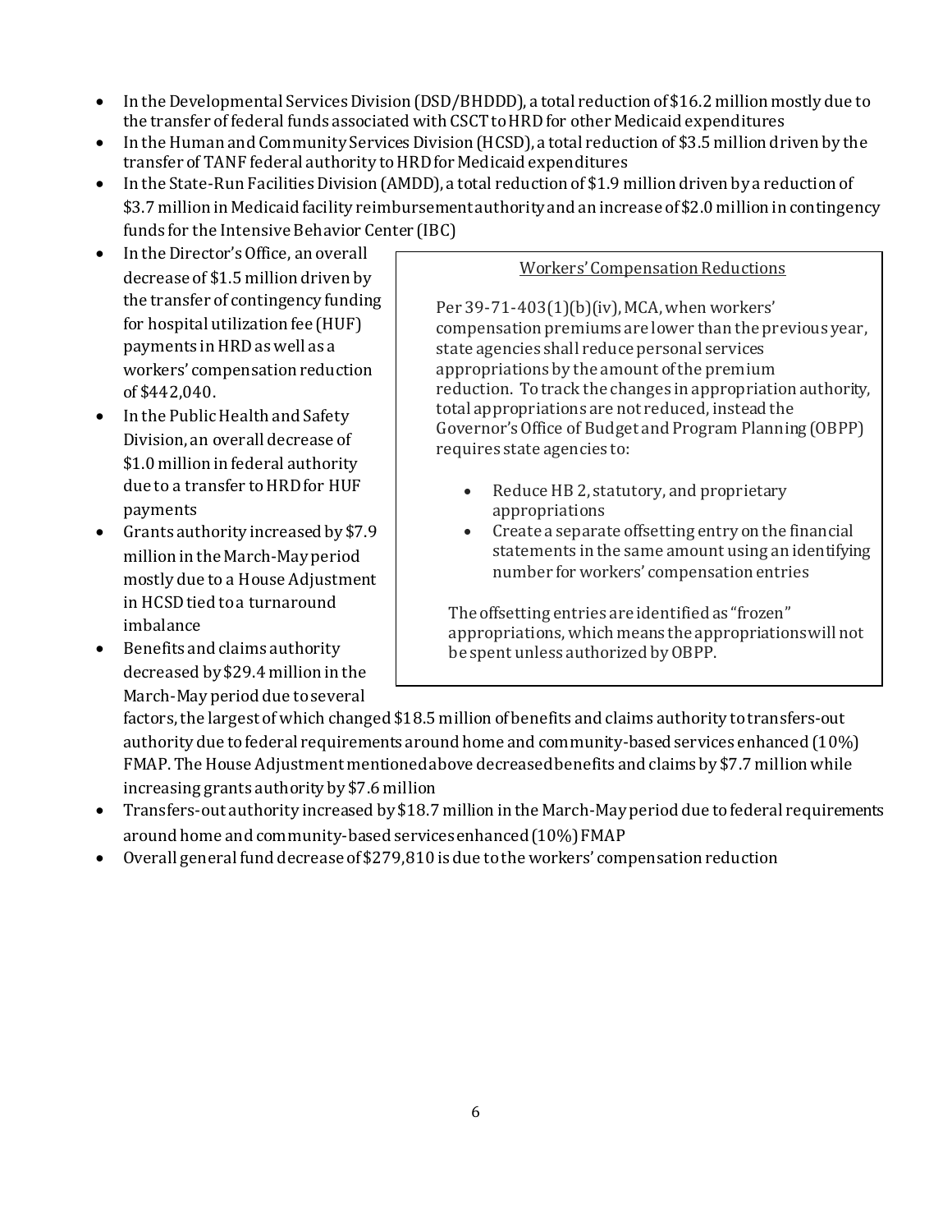- In the Developmental Services Division (DSD/BHDDD), a total reduction of \$16.2 million mostly due to the transfer of federal funds associated with CSCT to HRD for other Medicaid expenditures
- In the Human and Community Services Division (HCSD), a total reduction of \$3.5 million driven by the transfer of TANF federal authority to HRD for Medicaid expenditures
- In the State-Run Facilities Division (AMDD), a total reduction of \$1.9 million driven by a reduction of \$3.7 million in Medicaid facility reimbursement authority and an increase of \$2.0 million in contingency funds for the Intensive Behavior Center (IBC)
- In the Director's Office, an overall decrease of \$1.5 million driven by the transfer of contingency funding for hospital utilization fee (HUF) payments in HRD as well as a workers' compensation reduction of \$442,040.
- In the Public Health and Safety Division, an overall decrease of \$1.0 million in federal authority due to a transfer to HRD for HUF payments
- Grants authority increased by \$7.9 million in the March-May period mostly due to a House Adjustment in HCSD tied to a turnaround imbalance
- Benefits and claims authority decreased by \$29.4 million in the March-May period due toseveral

#### Workers' Compensation Reductions

Per 39-71-403(1)(b)(iv), MCA, when workers' compensation premiums are lower than the previous year, state agencies shall reduce personal services appropriations by the amount of the premium reduction. To track the changes in appropriation authority, total appropriations are not reduced, instead the Governor's Office of Budget and Program Planning (OBPP) requires state agencies to:

- Reduce HB 2, statutory, and proprietary appropriations
- Create a separate offsetting entry on the financial statements in the same amount using an identifying number for workers' compensation entries

The offsetting entries are identified as "frozen" appropriations, which means the appropriations will not be spent unless authorized by OBPP.

factors, the largest of which changed \$18.5 million of benefits and claims authority to transfers-out authority due to federal requirements around home and community-based services enhanced (10%) FMAP. The House Adjustment mentioned above decreased benefits and claims by \$7.7 million while increasing grants authority by \$7.6 million

- Transfers-out authority increased by \$18.7 million in the March-May period due to federal requirements around home and community-based services enhanced (10%) FMAP
- Overall general fund decrease of \$279,810 is due to the workers' compensation reduction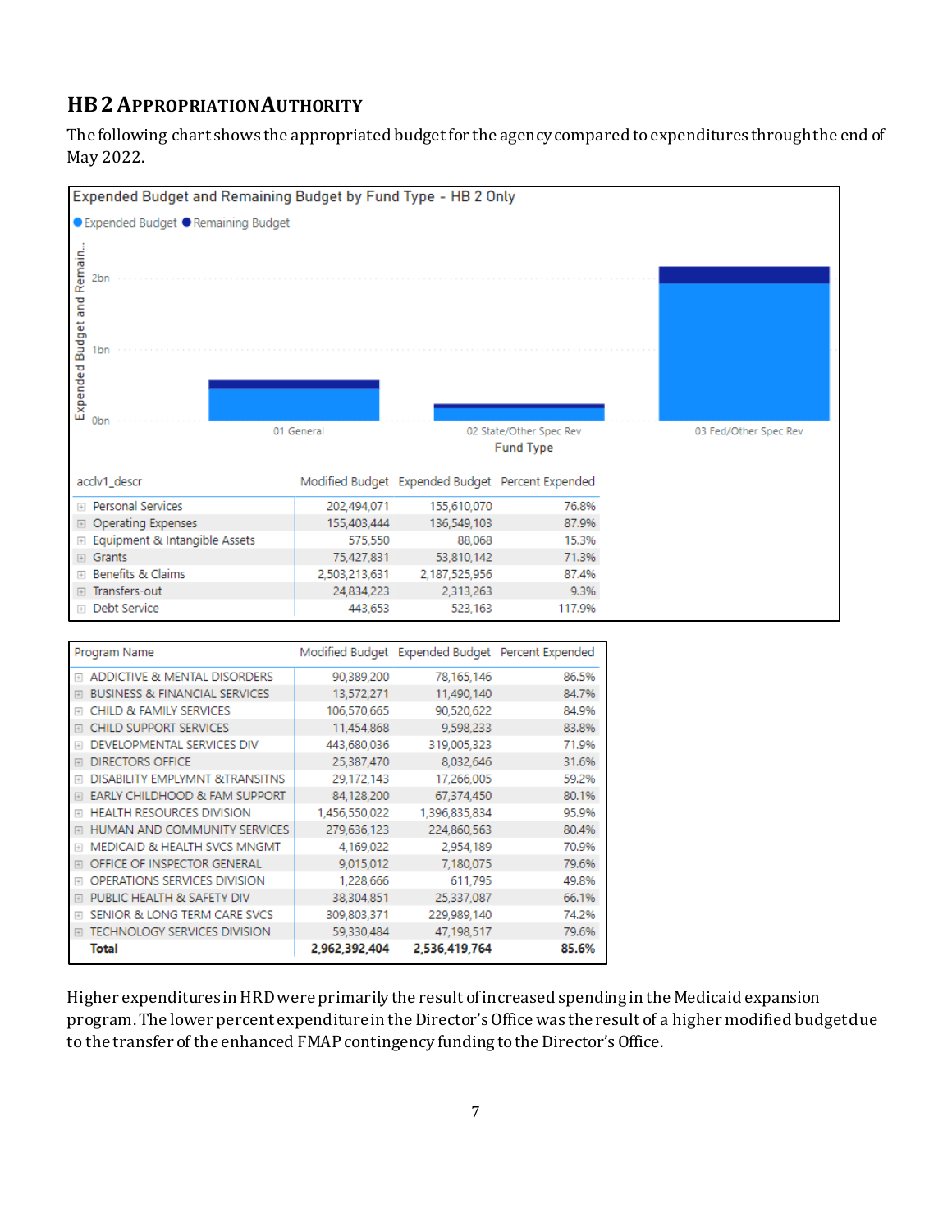## **HB2APPROPRIATION AUTHORITY**

The following chart shows the appropriated budget for the agency compared to expenditures through the end of May 2022.



| Program Name                                        |               | Modified Budget Expended Budget | Percent Expended |
|-----------------------------------------------------|---------------|---------------------------------|------------------|
| ADDICTIVE & MENTAL DISORDERS<br>$\Box$              | 90.389.200    | 78,165,146                      | 86.5%            |
| <b>BUSINESS &amp; FINANCIAL SERVICES</b><br>$\Box$  | 13,572,271    | 11,490,140                      | 84.7%            |
| <b>CHILD &amp; FAMILY SERVICES</b><br>田             | 106,570,665   | 90.520.622                      | 84.9%            |
| <b>CHILD SUPPORT SERVICES</b><br>田                  | 11,454,868    | 9,598,233                       | 83.8%            |
| DEVELOPMENTAL SERVICES DIV<br>田                     | 443.680.036   | 319,005,323                     | 71.9%            |
| <b>DIRECTORS OFFICE</b><br>田                        | 25.387.470    | 8.032.646                       | 31.6%            |
| <b>DISABILITY EMPLYMNT &amp;TRANSITNS</b><br>$\Box$ | 29,172,143    | 17,266,005                      | 59.2%            |
| EARLY CHILDHOOD & FAM SUPPORT<br>日                  | 84,128,200    | 67,374,450                      | 80.1%            |
| <b>HEALTH RESOURCES DIVISION</b><br>$\Box$          | 1,456,550,022 | 1,396,835,834                   | 95.9%            |
| HUMAN AND COMMUNITY SERVICES<br>日                   | 279,636,123   | 224,860,563                     | 80.4%            |
| MEDICAID & HEALTH SVCS MNGMT<br>田                   | 4,169,022     | 2,954,189                       | 70.9%            |
| OFFICE OF INSPECTOR GENERAL<br>$\Box$               | 9,015,012     | 7,180,075                       | 79.6%            |
| OPERATIONS SERVICES DIVISION<br>田                   | 1,228,666     | 611,795                         | 49.8%            |
| PUBLIC HEALTH & SAFETY DIV<br>田                     | 38,304,851    | 25,337,087                      | 66.1%            |
| SENIOR & LONG TERM CARE SVCS<br>田                   | 309,803,371   | 229,989,140                     | 74.2%            |
| <b>TECHNOLOGY SERVICES DIVISION</b><br>$\Box$       | 59,330,484    | 47.198.517                      | 79.6%            |
| Total                                               | 2,962,392,404 | 2.536.419.764                   | 85.6%            |

Higher expenditures in HRD were primarily the result of increased spending in the Medicaid expansion program. The lower percent expenditure in the Director's Office was the result of a higher modified budget due to the transfer of the enhanced FMAP contingency funding to the Director's Office.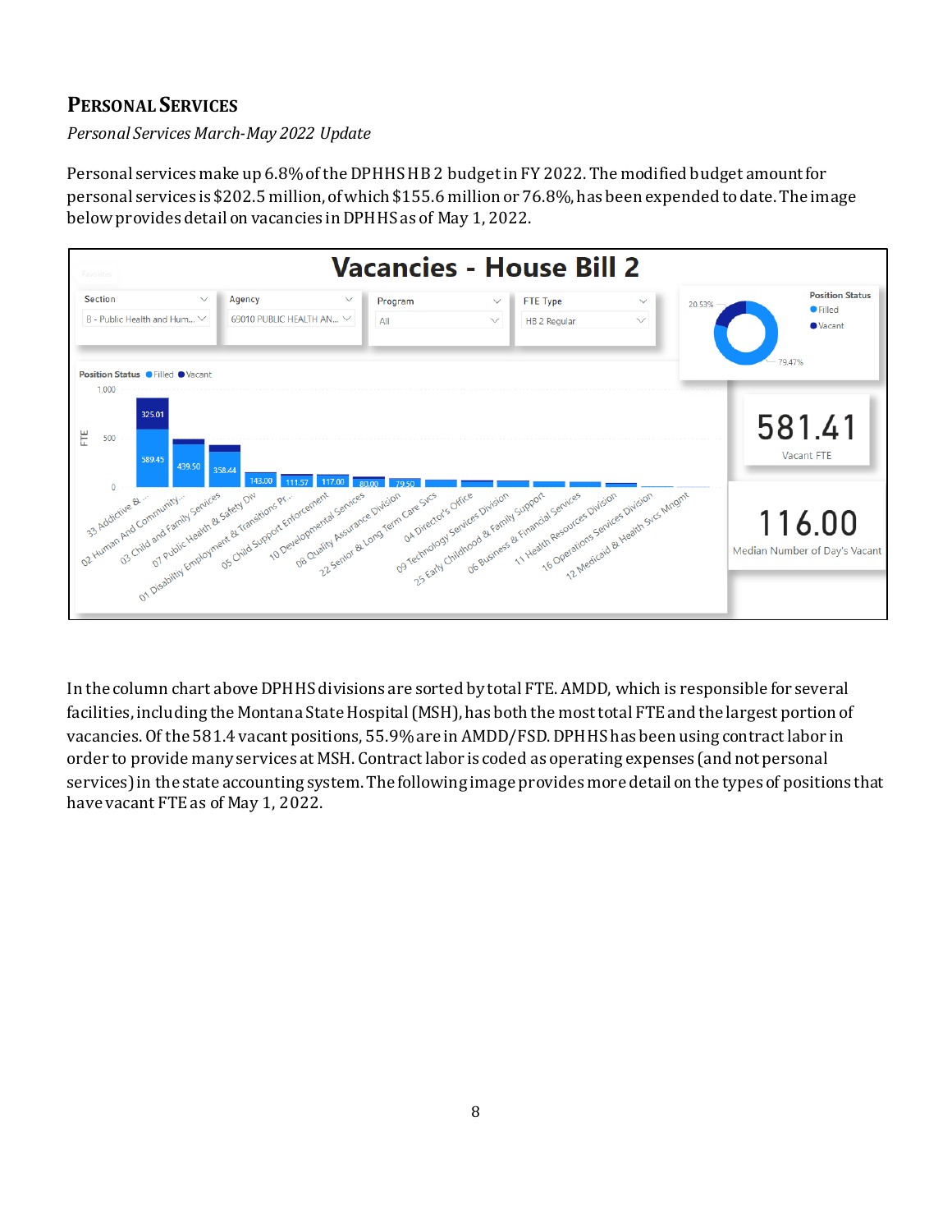## **PERSONAL SERVICES**

*Personal Services March-May 2022 Update*

Personal services make up 6.8% of the DPHHS HB 2 budget in FY 2022. The modified budget amountfor personal services is \$202.5 million, of which \$155.6 million or 76.8%, has been expended to date. The image below provides detail on vacancies in DPHHS as of May 1, 2022.



In the column chart above DPHHS divisions are sorted by total FTE. AMDD, which is responsible for several facilities, including the Montana State Hospital(MSH), has both the most total FTE and the largest portion of vacancies. Of the 581.4 vacant positions, 55.9%are in AMDD/FSD. DPHHS has been using contractlabor in order to provide many services at MSH. Contract labor is coded as operating expenses (and not personal services) in the state accounting system. The following image provides more detail on the types of positions that have vacant FTE as of May 1, 2022.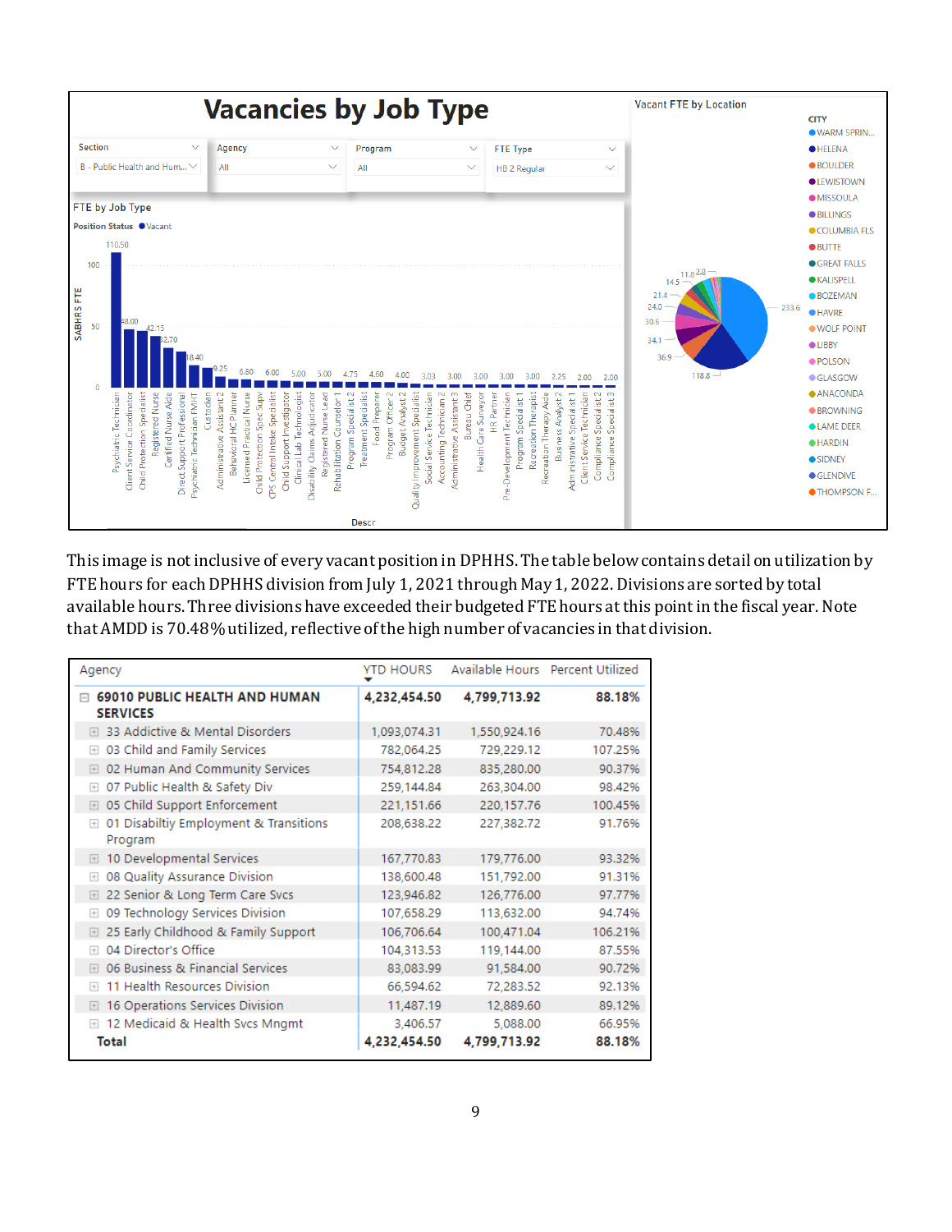

This image is not inclusive of every vacant position in DPHHS. The table below contains detail on utilization by FTE hours for each DPHHS division from July 1, 2021 through May 1, 2022. Divisions are sorted by total available hours. Three divisions have exceeded their budgeted FTE hours at this point in the fiscal year. Note that AMDD is 70.48% utilized, reflective of the high number of vacancies in that division.

| Agency                                                       | <b>YTD HOURS</b> | Available Hours Percent Utilized |         |
|--------------------------------------------------------------|------------------|----------------------------------|---------|
| <b>69010 PUBLIC HEALTH AND HUMAN</b><br>冃<br><b>SERVICES</b> | 4,232,454.50     | 4,799,713.92                     | 88.18%  |
| 33 Addictive & Mental Disorders<br>$\lceil + \rceil$         | 1,093,074.31     | 1,550,924.16                     | 70.48%  |
| 03 Child and Family Services<br>$+$                          | 782,064.25       | 729,229.12                       | 107.25% |
| 02 Human And Community Services<br>$+$                       | 754,812.28       | 835,280.00                       | 90.37%  |
| 07 Public Health & Safety Div<br>$+$                         | 259,144.84       | 263,304.00                       | 98.42%  |
| 05 Child Support Enforcement<br>$\boxed{+}$                  | 221,151.66       | 220,157.76                       | 100.45% |
| 01 Disabiltiy Employment & Transitions<br>$+$<br>Program     | 208,638.22       | 227,382.72                       | 91.76%  |
| 10 Developmental Services<br>$+$                             | 167,770.83       | 179,776.00                       | 93.32%  |
| 08 Quality Assurance Division<br>$+$                         | 138,600.48       | 151,792.00                       | 91.31%  |
| 22 Senior & Long Term Care Svcs<br>$+$                       | 123,946.82       | 126,776.00                       | 97.77%  |
| 09 Technology Services Division<br>$+$                       | 107,658.29       | 113,632.00                       | 94.74%  |
| 25 Early Childhood & Family Support<br>$+$                   | 106,706.64       | 100,471.04                       | 106.21% |
| 04 Director's Office<br>$\left  + \right $                   | 104,313.53       | 119,144.00                       | 87.55%  |
| 06 Business & Financial Services<br>$\left  + \right $       | 83,083.99        | 91.584.00                        | 90.72%  |
| 11 Health Resources Division<br>$\Box$                       | 66,594.62        | 72,283.52                        | 92.13%  |
| 16 Operations Services Division<br>$+$                       | 11,487.19        | 12,889.60                        | 89.12%  |
| 12 Medicaid & Health Svcs Mngmt<br>$+$                       | 3.406.57         | 5,088.00                         | 66.95%  |
| Total                                                        | 4,232,454.50     | 4,799,713.92                     | 88.18%  |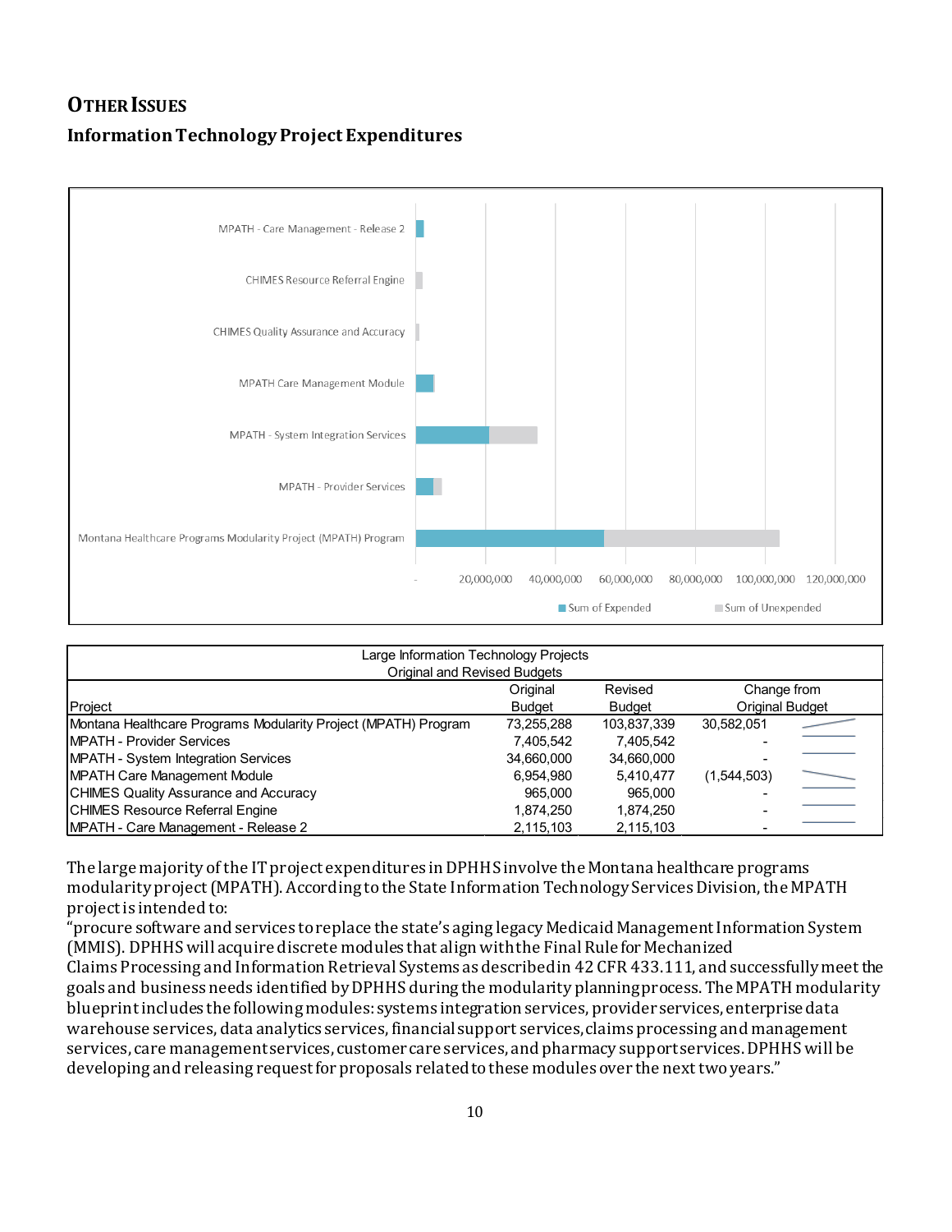# **OTHER ISSUES Information Technology Project Expenditures**



| Large Information Technology Projects<br>Original and Revised Budgets |            |             |                        |  |  |  |  |  |  |
|-----------------------------------------------------------------------|------------|-------------|------------------------|--|--|--|--|--|--|
| Original<br>Change from<br>Revised                                    |            |             |                        |  |  |  |  |  |  |
| Project                                                               | Budget     | Budget      | <b>Original Budget</b> |  |  |  |  |  |  |
| Montana Healthcare Programs Modularity Project (MPATH) Program        | 73,255,288 | 103,837,339 | 30.582.051             |  |  |  |  |  |  |
| <b>IMPATH - Provider Services</b>                                     | 7.405.542  | 7.405.542   |                        |  |  |  |  |  |  |
| <b>MPATH - System Integration Services</b>                            | 34.660.000 | 34,660,000  |                        |  |  |  |  |  |  |
| <b>MPATH Care Management Module</b>                                   | 6,954,980  | 5.410.477   | (1,544,503)            |  |  |  |  |  |  |
| <b>CHIMES Quality Assurance and Accuracy</b>                          | 965,000    | 965.000     |                        |  |  |  |  |  |  |
| <b>CHIMES Resource Referral Engine</b>                                | 1,874,250  | 1,874,250   |                        |  |  |  |  |  |  |
| <b>IMPATH - Care Management - Release 2</b>                           | 2,115,103  | 2,115,103   |                        |  |  |  |  |  |  |

The large majority of the IT project expenditures in DPHHS involve the Montana healthcare programs modularity project (MPATH). According to the State Information Technology Services Division, the MPATH project is intended to:

"procure software and services to replace the state's aging legacy Medicaid Management Information System (MMIS). DPHHS will acquire discrete modules that align with the Final Rule for Mechanized Claims Processing and Information Retrieval Systems as described in 42 CFR 433.111, and successfully meet the goals and business needs identified by DPHHS during the modularity planning process. The MPATH modularity blueprint includes the following modules: systems integration services, provider services, enterprise data warehouse services, data analytics services, financial support services, claims processing and management services, care management services, customer care services, and pharmacy support services. DPHHS will be developing and releasing request for proposals related to these modules over the next two years."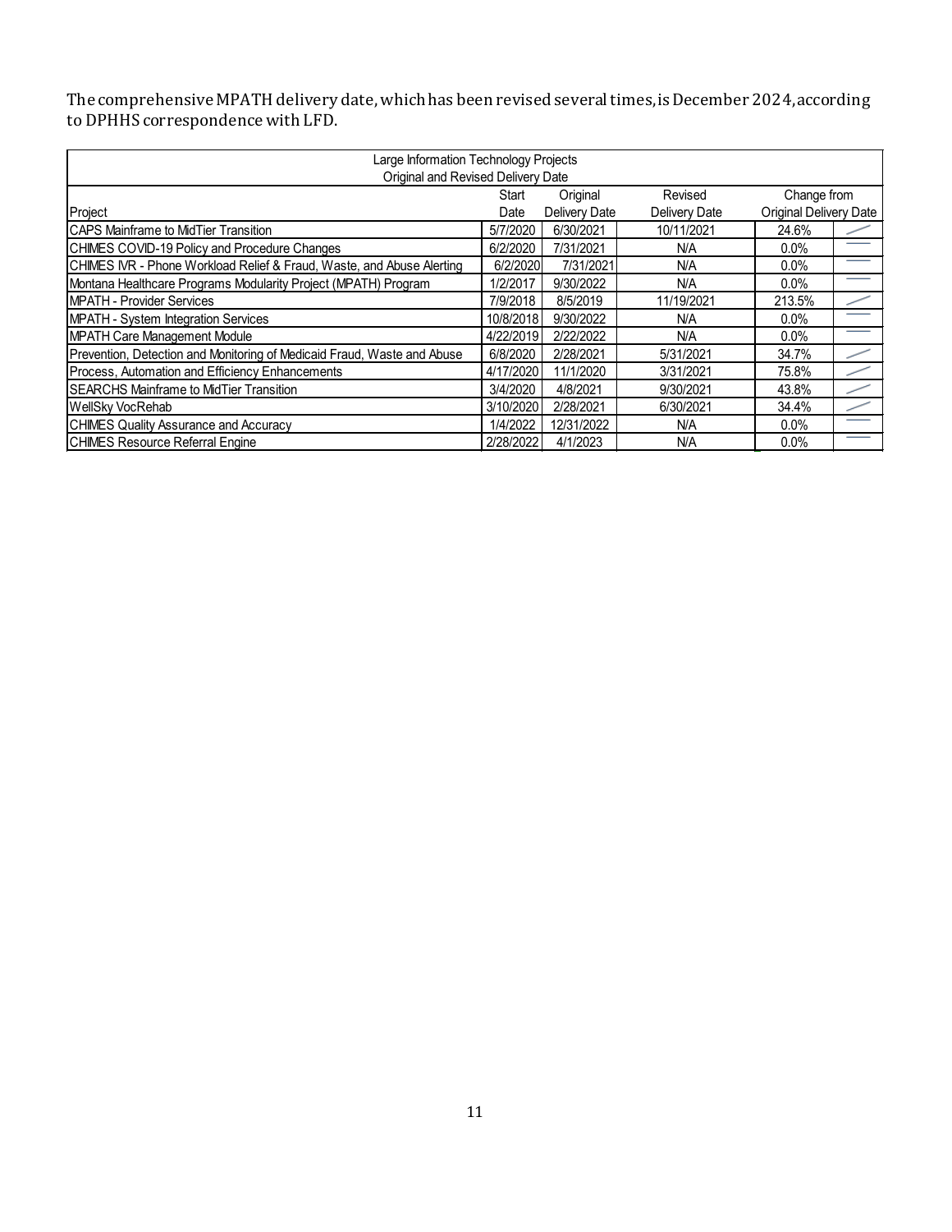The comprehensive MPATH delivery date, which has been revised several times, is December 2024,according to DPHHS correspondence with LFD.

| Large Information Technology Projects                                   |           |               |               |                               |     |  |  |  |  |  |
|-------------------------------------------------------------------------|-----------|---------------|---------------|-------------------------------|-----|--|--|--|--|--|
| Original and Revised Delivery Date                                      |           |               |               |                               |     |  |  |  |  |  |
| Original<br>Revised<br>Change from<br>Start                             |           |               |               |                               |     |  |  |  |  |  |
| Project                                                                 | Date      | Delivery Date | Delivery Date | <b>Original Delivery Date</b> |     |  |  |  |  |  |
| <b>ICAPS Mainframe to MidTier Transition</b>                            | 5/7/2020  | 6/30/2021     | 10/11/2021    | 24.6%                         |     |  |  |  |  |  |
| CHIMES COVID-19 Policy and Procedure Changes                            | 6/2/2020  | 7/31/2021     | N/A           | $0.0\%$                       |     |  |  |  |  |  |
| CHIMES IVR - Phone Workload Relief & Fraud, Waste, and Abuse Alerting   | 6/2/2020  | 7/31/2021     | N/A           | $0.0\%$                       | ___ |  |  |  |  |  |
| Montana Healthcare Programs Modularity Project (MPATH) Program          | 1/2/2017  | 9/30/2022     | N/A           | $0.0\%$                       |     |  |  |  |  |  |
| MPATH - Provider Services                                               | 7/9/2018  | 8/5/2019      | 11/19/2021    | 213.5%                        |     |  |  |  |  |  |
| MPATH - System Integration Services                                     | 10/8/2018 | 9/30/2022     | N/A           | $0.0\%$                       |     |  |  |  |  |  |
| <b>MPATH Care Management Module</b>                                     | 4/22/2019 | 2/22/2022     | N/A           | $0.0\%$                       |     |  |  |  |  |  |
| Prevention, Detection and Monitoring of Medicaid Fraud, Waste and Abuse | 6/8/2020  | 2/28/2021     | 5/31/2021     | 34.7%                         |     |  |  |  |  |  |
| Process, Automation and Efficiency Enhancements                         | 4/17/2020 | 11/1/2020     | 3/31/2021     | 75.8%                         |     |  |  |  |  |  |
| <b>ISEARCHS Mainframe to MidTier Transition</b>                         | 3/4/2020  | 4/8/2021      | 9/30/2021     | 43.8%                         |     |  |  |  |  |  |
| WellSky VocRehab                                                        | 3/10/2020 | 2/28/2021     | 6/30/2021     | 34.4%                         |     |  |  |  |  |  |
| <b>CHIMES Quality Assurance and Accuracy</b>                            | 1/4/2022  | 12/31/2022    | N/A           | $0.0\%$                       |     |  |  |  |  |  |
| <b>CHIMES Resource Referral Engine</b>                                  | 2/28/2022 | 4/1/2023      | N/A           | $0.0\%$                       |     |  |  |  |  |  |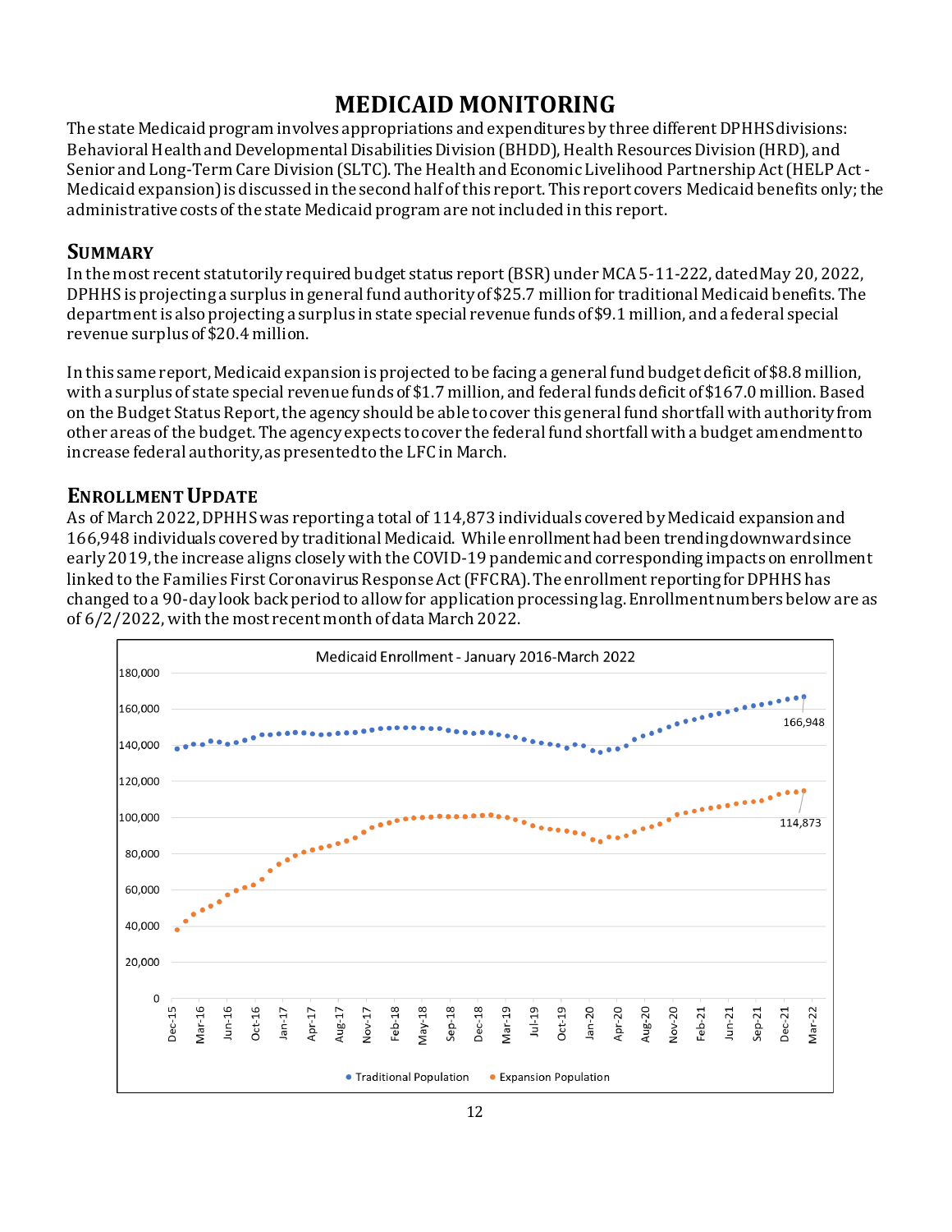# **MEDICAID MONITORING**

The state Medicaid program involves appropriations and expenditures by three different DPHHS divisions: Behavioral Health and Developmental Disabilities Division (BHDD), Health Resources Division (HRD), and Senior and Long-Term Care Division (SLTC). The Health and Economic Livelihood Partnership Act (HELP Act - Medicaid expansion) is discussed in the second half of this report. This report covers Medicaid benefits only; the administrative costs of the state Medicaid program are not included in this report.

#### **SUMMARY**

In the most recent statutorily required budget status report(BSR)under MCA 5-11-222, dated May 20, 2022, DPHHS is projecting a surplus in general fund authority of \$25.7 million for traditional Medicaid benefits. The department is also projecting a surplus in state special revenue funds of \$9.1 million, and a federal special revenue surplus of \$20.4 million.

In this same report, Medicaid expansion is projected to be facing a general fund budget deficit of \$8.8 million, with a surplus of state special revenue funds of \$1.7 million, and federal funds deficit of \$167.0 million.Based on the Budget Status Report, the agency should be able to cover this general fund shortfall with authority from other areas of the budget. The agency expects to cover the federal fund shortfall with a budget amendment to increase federal authority, as presented to the LFC in March.

#### **ENROLLMENT UPDATE**

As of March 2022, DPHHS was reporting a total of 114,873 individuals covered by Medicaid expansion and 166,948 individuals covered by traditional Medicaid. While enrollment had been trending downward since early 2019, the increase aligns closely with the COVID-19 pandemic and corresponding impacts on enrollment linked to the Families First Coronavirus Response Act(FFCRA). The enrollment reporting for DPHHS has changed to a 90-day look back period to allow for application processing lag. Enrollment numbers below are as of 6/2/2022,with the most recent month of data March 2022.

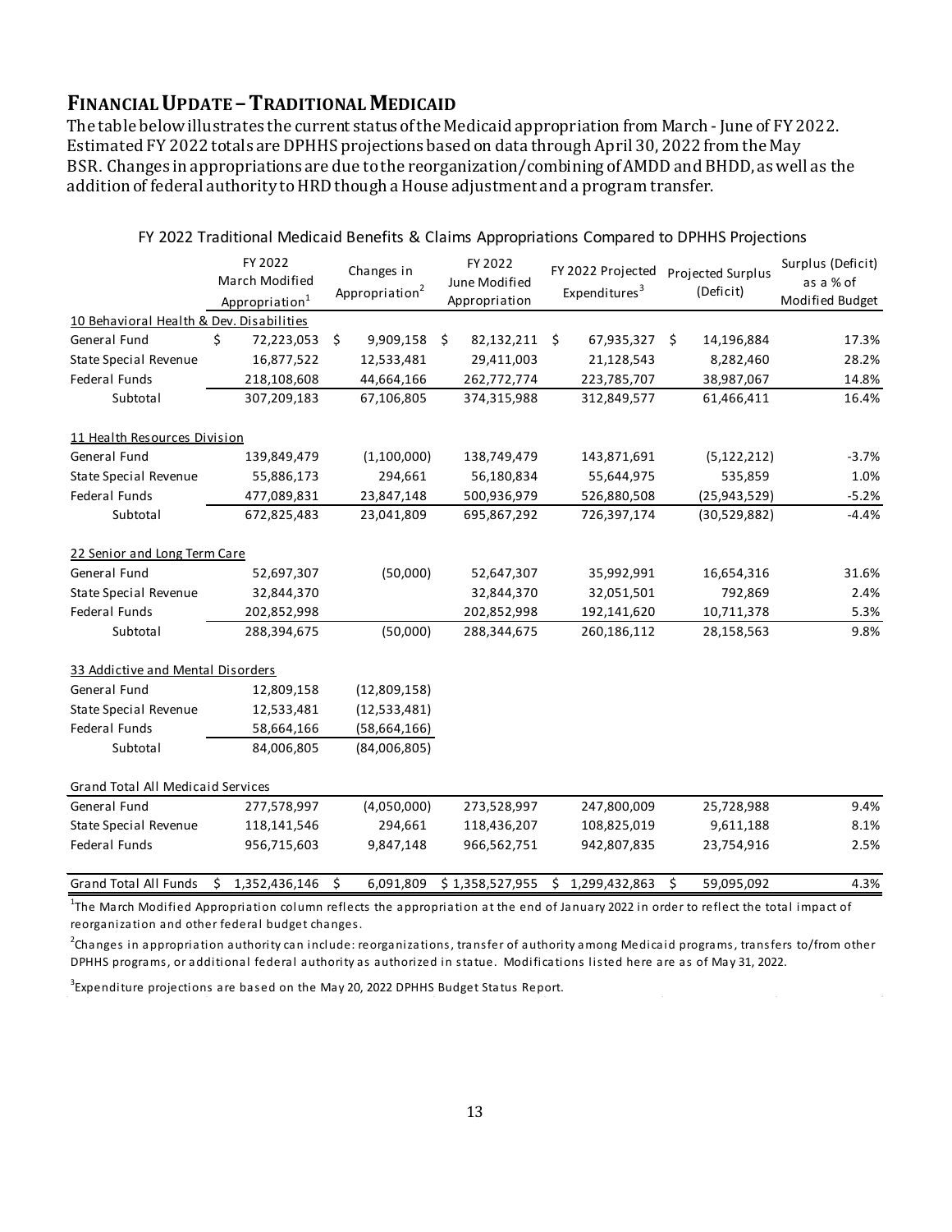#### **FINANCIAL UPDATE –TRADITIONAL MEDICAID**

The table belowillustrates the current status of the Medicaid appropriation from March - June of FY 2022. Estimated FY 2022 totals are DPHHS projections based on data through April 30, 2022 from the May BSR. Changes in appropriations are due to the reorganization/combining of AMDD and BHDD, as well as the addition of federal authority to HRD though a House adjustment and a program transfer.

|                                          |    | FY 2022<br>March Modified<br>Appropriation <sup>1</sup> |     | Changes in<br>Appropriation <sup>2</sup> |    | FY 2022<br>June Modified<br>Appropriation |   | FY 2022 Projected<br>Expenditures <sup>3</sup> |    | Projected Surplus<br>(Deficit) | Surplus (Deficit)<br>as a % of<br>Modified Budget |
|------------------------------------------|----|---------------------------------------------------------|-----|------------------------------------------|----|-------------------------------------------|---|------------------------------------------------|----|--------------------------------|---------------------------------------------------|
| 10 Behavioral Health & Dev. Disabilities |    |                                                         |     |                                          |    |                                           |   |                                                |    |                                |                                                   |
| General Fund                             | \$ | 72,223,053                                              | \$  | 9,909,158                                | Ŝ. | 82,132,211 \$                             |   | 67,935,327                                     | Ŝ. | 14,196,884                     | 17.3%                                             |
| <b>State Special Revenue</b>             |    | 16,877,522                                              |     | 12,533,481                               |    | 29,411,003                                |   | 21,128,543                                     |    | 8,282,460                      | 28.2%                                             |
| Federal Funds                            |    | 218,108,608                                             |     | 44,664,166                               |    | 262,772,774                               |   | 223,785,707                                    |    | 38,987,067                     | 14.8%                                             |
| Subtotal                                 |    | 307,209,183                                             |     | 67,106,805                               |    | 374,315,988                               |   | 312,849,577                                    |    | 61,466,411                     | 16.4%                                             |
| 11 Health Resources Division             |    |                                                         |     |                                          |    |                                           |   |                                                |    |                                |                                                   |
| General Fund                             |    | 139,849,479                                             |     | (1,100,000)                              |    | 138,749,479                               |   | 143,871,691                                    |    | (5, 122, 212)                  | $-3.7%$                                           |
| State Special Revenue                    |    | 55,886,173                                              |     | 294,661                                  |    | 56,180,834                                |   | 55,644,975                                     |    | 535,859                        | 1.0%                                              |
| Federal Funds                            |    | 477,089,831                                             |     | 23,847,148                               |    | 500,936,979                               |   | 526,880,508                                    |    | (25, 943, 529)                 | $-5.2%$                                           |
| Subtotal                                 |    | 672,825,483                                             |     | 23,041,809                               |    | 695,867,292                               |   | 726,397,174                                    |    | (30,529,882)                   | $-4.4%$                                           |
| 22 Senior and Long Term Care             |    |                                                         |     |                                          |    |                                           |   |                                                |    |                                |                                                   |
| General Fund                             |    | 52,697,307                                              |     | (50,000)                                 |    | 52,647,307                                |   | 35,992,991                                     |    | 16,654,316                     | 31.6%                                             |
| <b>State Special Revenue</b>             |    | 32,844,370                                              |     |                                          |    | 32,844,370                                |   | 32,051,501                                     |    | 792,869                        | 2.4%                                              |
| <b>Federal Funds</b>                     |    | 202,852,998                                             |     |                                          |    | 202,852,998                               |   | 192,141,620                                    |    | 10,711,378                     | 5.3%                                              |
| Subtotal                                 |    | 288,394,675                                             |     | (50,000)                                 |    | 288,344,675                               |   | 260,186,112                                    |    | 28,158,563                     | 9.8%                                              |
| 33 Addictive and Mental Disorders        |    |                                                         |     |                                          |    |                                           |   |                                                |    |                                |                                                   |
| General Fund                             |    | 12,809,158                                              |     | (12,809,158)                             |    |                                           |   |                                                |    |                                |                                                   |
| State Special Revenue                    |    | 12,533,481                                              |     | (12,533,481)                             |    |                                           |   |                                                |    |                                |                                                   |
| Federal Funds                            |    | 58,664,166                                              |     | (58,664,166)                             |    |                                           |   |                                                |    |                                |                                                   |
| Subtotal                                 |    | 84,006,805                                              |     | (84,006,805)                             |    |                                           |   |                                                |    |                                |                                                   |
| Grand Total All Medicaid Services        |    |                                                         |     |                                          |    |                                           |   |                                                |    |                                |                                                   |
| General Fund                             |    | 277,578,997                                             |     | (4,050,000)                              |    | 273,528,997                               |   | 247,800,009                                    |    | 25,728,988                     | 9.4%                                              |
| <b>State Special Revenue</b>             |    | 118,141,546                                             |     | 294,661                                  |    | 118,436,207                               |   | 108,825,019                                    |    | 9,611,188                      | 8.1%                                              |
| Federal Funds                            |    | 956,715,603                                             |     | 9,847,148                                |    | 966,562,751                               |   | 942,807,835                                    |    | 23,754,916                     | 2.5%                                              |
| <b>Grand Total All Funds</b>             | Ŝ. | 1,352,436,146                                           | -\$ | 6,091,809                                |    | \$1,358,527,955                           | S | 1,299,432,863                                  | \$ | 59,095,092                     | 4.3%                                              |

FY 2022 Traditional Medicaid Benefits & Claims Appropriations Compared to DPHHS Projections

<sup>1</sup>The March Modified Appropriation column reflects the appropriation at the end of January 2022 in order to reflect the total impact of reorganization and other federal budget changes.

 $^2$ Changes in appropriation authority can include: reorganizations, transfer of authority among Medicaid programs, transfers to/from other DPHHS programs, or additional federal authority as authorized in statue. Modifications listed here are as of May 31, 2022.

 $^3$ Expenditure projections are based on the May 20, 2022 DPHHS Budget Status Report.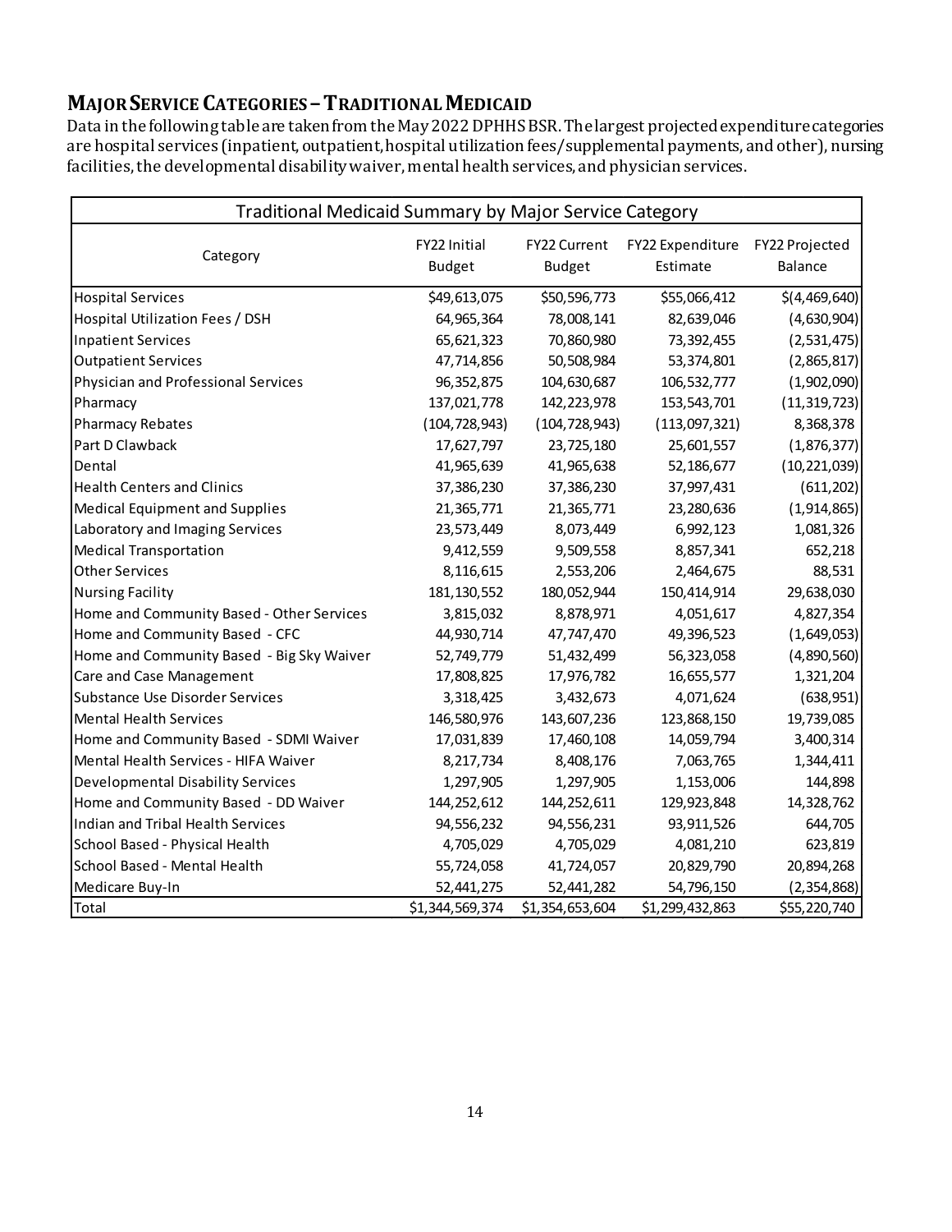## **MAJOR SERVICE CATEGORIES –TRADITIONAL MEDICAID**

Data in the following table are taken from the May 2022 DPHHS BSR. The largest projected expenditure categories are hospital services (inpatient, outpatient, hospital utilization fees/supplemental payments, and other), nursing facilities, the developmental disability waiver, mental health services, and physician services.

| Traditional Medicaid Summary by Major Service Category |                                      |                               |                              |                                  |  |  |  |  |  |  |
|--------------------------------------------------------|--------------------------------------|-------------------------------|------------------------------|----------------------------------|--|--|--|--|--|--|
| Category                                               | <b>FY22 Initial</b><br><b>Budget</b> | FY22 Current<br><b>Budget</b> | FY22 Expenditure<br>Estimate | FY22 Projected<br><b>Balance</b> |  |  |  |  |  |  |
| <b>Hospital Services</b>                               | \$49,613,075                         | \$50,596,773                  | \$55,066,412                 | \$(4,469,640)                    |  |  |  |  |  |  |
| Hospital Utilization Fees / DSH                        | 64,965,364                           | 78,008,141                    | 82,639,046                   | (4,630,904)                      |  |  |  |  |  |  |
| <b>Inpatient Services</b>                              | 65,621,323                           | 70,860,980                    | 73,392,455                   | (2,531,475)                      |  |  |  |  |  |  |
| <b>Outpatient Services</b>                             | 47,714,856                           | 50,508,984                    | 53,374,801                   | (2,865,817)                      |  |  |  |  |  |  |
| Physician and Professional Services                    | 96,352,875                           | 104,630,687                   | 106,532,777                  | (1,902,090)                      |  |  |  |  |  |  |
| Pharmacy                                               | 137,021,778                          | 142,223,978                   | 153,543,701                  | (11, 319, 723)                   |  |  |  |  |  |  |
| <b>Pharmacy Rebates</b>                                | (104, 728, 943)                      | (104, 728, 943)               | (113,097,321)                | 8,368,378                        |  |  |  |  |  |  |
| Part D Clawback                                        | 17,627,797                           | 23,725,180                    | 25,601,557                   | (1,876,377)                      |  |  |  |  |  |  |
| Dental                                                 | 41,965,639                           | 41,965,638                    | 52,186,677                   | (10, 221, 039)                   |  |  |  |  |  |  |
| <b>Health Centers and Clinics</b>                      | 37,386,230                           | 37,386,230                    | 37,997,431                   | (611, 202)                       |  |  |  |  |  |  |
| <b>Medical Equipment and Supplies</b>                  | 21,365,771                           | 21,365,771                    | 23,280,636                   | (1,914,865)                      |  |  |  |  |  |  |
| Laboratory and Imaging Services                        | 23,573,449                           | 8,073,449                     | 6,992,123                    | 1,081,326                        |  |  |  |  |  |  |
| <b>Medical Transportation</b>                          | 9,412,559                            | 9,509,558                     | 8,857,341                    | 652,218                          |  |  |  |  |  |  |
| <b>Other Services</b>                                  | 8,116,615                            | 2,553,206                     | 2,464,675                    | 88,531                           |  |  |  |  |  |  |
| <b>Nursing Facility</b>                                | 181, 130, 552                        | 180,052,944                   | 150,414,914                  | 29,638,030                       |  |  |  |  |  |  |
| Home and Community Based - Other Services              | 3,815,032                            | 8,878,971                     | 4,051,617                    | 4,827,354                        |  |  |  |  |  |  |
| Home and Community Based - CFC                         | 44,930,714                           | 47,747,470                    | 49,396,523                   | (1,649,053)                      |  |  |  |  |  |  |
| Home and Community Based - Big Sky Waiver              | 52,749,779                           | 51,432,499                    | 56,323,058                   | (4,890,560)                      |  |  |  |  |  |  |
| Care and Case Management                               | 17,808,825                           | 17,976,782                    | 16,655,577                   | 1,321,204                        |  |  |  |  |  |  |
| Substance Use Disorder Services                        | 3,318,425                            | 3,432,673                     | 4,071,624                    | (638, 951)                       |  |  |  |  |  |  |
| <b>Mental Health Services</b>                          | 146,580,976                          | 143,607,236                   | 123,868,150                  | 19,739,085                       |  |  |  |  |  |  |
| Home and Community Based - SDMI Waiver                 | 17,031,839                           | 17,460,108                    | 14,059,794                   | 3,400,314                        |  |  |  |  |  |  |
| Mental Health Services - HIFA Waiver                   | 8,217,734                            | 8,408,176                     | 7,063,765                    | 1,344,411                        |  |  |  |  |  |  |
| <b>Developmental Disability Services</b>               | 1,297,905                            | 1,297,905                     | 1,153,006                    | 144,898                          |  |  |  |  |  |  |
| Home and Community Based - DD Waiver                   | 144,252,612                          | 144,252,611                   | 129,923,848                  | 14,328,762                       |  |  |  |  |  |  |
| Indian and Tribal Health Services                      | 94,556,232                           | 94,556,231                    | 93,911,526                   | 644,705                          |  |  |  |  |  |  |
| School Based - Physical Health                         | 4,705,029                            | 4,705,029                     | 4,081,210                    | 623,819                          |  |  |  |  |  |  |
| School Based - Mental Health                           | 55,724,058                           | 41,724,057                    | 20,829,790                   | 20,894,268                       |  |  |  |  |  |  |
| Medicare Buy-In                                        | 52,441,275                           | 52,441,282                    | 54,796,150                   | (2, 354, 868)                    |  |  |  |  |  |  |
| Total                                                  | \$1,344,569,374                      | \$1,354,653,604               | \$1,299,432,863              | \$55,220,740                     |  |  |  |  |  |  |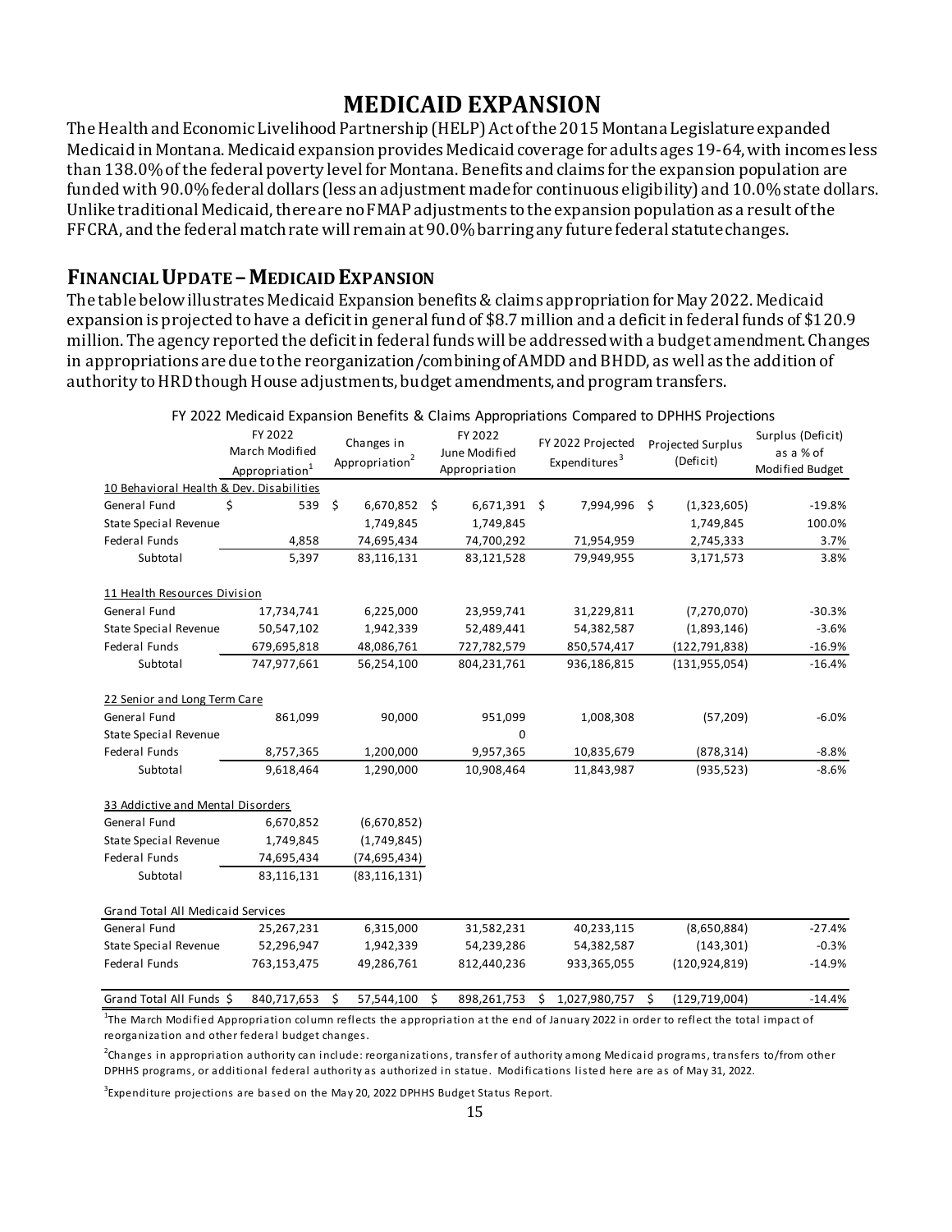# **MEDICAID EXPANSION**

The Health and Economic Livelihood Partnership (HELP) Act of the 2015 Montana Legislature expanded Medicaid in Montana. Medicaid expansion provides Medicaid coverage for adults ages 19-64, with incomes less than 138.0% of the federal poverty level for Montana. Benefits and claims for the expansion population are funded with 90.0% federal dollars (less an adjustment made for continuous eligibility) and 10.0% state dollars. Unlike traditional Medicaid, there are no FMAP adjustments to the expansion population as a result of the FFCRA, and the federal match rate will remain at 90.0%barring any future federal statute changes.

**FINANCIAL UPDATE – MEDICAID EXPANSION**<br>The table below illustrates Medicaid Expansion benefits & claims appropriation for May 2022. Medicaid expansion is projected to have a deficit in general fund of \$8.7 million and a deficit in federal funds of \$120.9 million. The agency reported the deficit in federal funds will be addressed with a budget amendment. Changes in appropriations are due to the reorganization/combining of AMDD and BHDD, as well as the addition of authority to HRD though House adjustments, budget amendments, and program transfers.

|                                          | FY 2022<br>March Modified<br>Appropriation <sup>1</sup> |    | Changes in<br>Appropriation <sup>2</sup> |     | FY 2022<br>June Modified<br>Appropriation |     | FY 2022 Projected<br>Expenditures <sup>3</sup> |    | Projected Surplus<br>(Deficit) | Surplus (Deficit)<br>as a % of<br>Modified Budget |
|------------------------------------------|---------------------------------------------------------|----|------------------------------------------|-----|-------------------------------------------|-----|------------------------------------------------|----|--------------------------------|---------------------------------------------------|
| 10 Behavioral Health & Dev. Disabilities |                                                         |    |                                          |     |                                           |     |                                                |    |                                |                                                   |
| General Fund                             | \$<br>539                                               | \$ | 6,670,852                                | \$. | 6,671,391                                 | \$. | 7,994,996                                      | Ŝ. | (1,323,605)                    | $-19.8%$                                          |
| <b>State Special Revenue</b>             |                                                         |    | 1,749,845                                |     | 1,749,845                                 |     |                                                |    | 1,749,845                      | 100.0%                                            |
| Federal Funds                            | 4,858                                                   |    | 74,695,434                               |     | 74,700,292                                |     | 71,954,959                                     |    | 2,745,333                      | 3.7%                                              |
| Subtotal                                 | 5,397                                                   |    | 83,116,131                               |     | 83,121,528                                |     | 79,949,955                                     |    | 3,171,573                      | 3.8%                                              |
| 11 Health Resources Division             |                                                         |    |                                          |     |                                           |     |                                                |    |                                |                                                   |
| General Fund                             | 17,734,741                                              |    | 6,225,000                                |     | 23,959,741                                |     | 31,229,811                                     |    | (7,270,070)                    | $-30.3%$                                          |
| State Special Revenue                    | 50,547,102                                              |    | 1,942,339                                |     | 52,489,441                                |     | 54,382,587                                     |    | (1,893,146)                    | $-3.6%$                                           |
| Federal Funds                            | 679,695,818                                             |    | 48,086,761                               |     | 727,782,579                               |     | 850,574,417                                    |    | (122, 791, 838)                | $-16.9%$                                          |
| Subtotal                                 | 747,977,661                                             |    | 56,254,100                               |     | 804,231,761                               |     | 936,186,815                                    |    | (131, 955, 054)                | $-16.4%$                                          |
| 22 Senior and Long Term Care             |                                                         |    |                                          |     |                                           |     |                                                |    |                                |                                                   |
| General Fund                             | 861,099                                                 |    | 90,000                                   |     | 951,099                                   |     | 1,008,308                                      |    | (57, 209)                      | $-6.0%$                                           |
| <b>State Special Revenue</b>             |                                                         |    |                                          |     | 0                                         |     |                                                |    |                                |                                                   |
| Federal Funds                            | 8,757,365                                               |    | 1,200,000                                |     | 9,957,365                                 |     | 10,835,679                                     |    | (878, 314)                     | $-8.8%$                                           |
| Subtotal                                 | 9,618,464                                               |    | 1,290,000                                |     | 10,908,464                                |     | 11,843,987                                     |    | (935, 523)                     | $-8.6%$                                           |
| 33 Addictive and Mental Disorders        |                                                         |    |                                          |     |                                           |     |                                                |    |                                |                                                   |
| General Fund                             | 6,670,852                                               |    | (6,670,852)                              |     |                                           |     |                                                |    |                                |                                                   |
| <b>State Special Revenue</b>             | 1,749,845                                               |    | (1,749,845)                              |     |                                           |     |                                                |    |                                |                                                   |
| Federal Funds                            | 74,695,434                                              |    | (74, 695, 434)                           |     |                                           |     |                                                |    |                                |                                                   |
| Subtotal                                 | 83,116,131                                              |    | (83, 116, 131)                           |     |                                           |     |                                                |    |                                |                                                   |
| Grand Total All Medicaid Services        |                                                         |    |                                          |     |                                           |     |                                                |    |                                |                                                   |
| General Fund                             | 25,267,231                                              |    | 6,315,000                                |     | 31,582,231                                |     | 40,233,115                                     |    | (8,650,884)                    | $-27.4%$                                          |
| <b>State Special Revenue</b>             | 52,296,947                                              |    | 1,942,339                                |     | 54,239,286                                |     | 54,382,587                                     |    | (143, 301)                     | $-0.3%$                                           |
| Federal Funds                            | 763,153,475                                             |    | 49,286,761                               |     | 812,440,236                               |     | 933,365,055                                    |    | (120, 924, 819)                | $-14.9%$                                          |
| Grand Total All Funds \$                 | 840,717,653                                             | Ś. | 57,544,100                               | Ś.  | 898,261,753                               |     | \$1,027,980,757                                | Ŝ. | (129, 719, 004)                | $-14.4%$                                          |

FY 2022 Medicaid Expansion Benefits & Claims Appropriations Compared to DPHHS Projections

<sup>1</sup>The March Modified Appropriation column reflects the appropriation at the end of January 2022 in order to reflect the total impact of reorganization and other federal budget changes.

<sup>2</sup>Changes in appropriation authority can include: reorganizations, transfer of authority among Medicaid programs, transfers to/from other DPHHS programs, or additional federal authority as authorized in statue. Modifications listed here are as of May 31, 2022.

 $^3$ Expenditure projections are based on the May 20, 2022 DPHHS Budget Status Report.